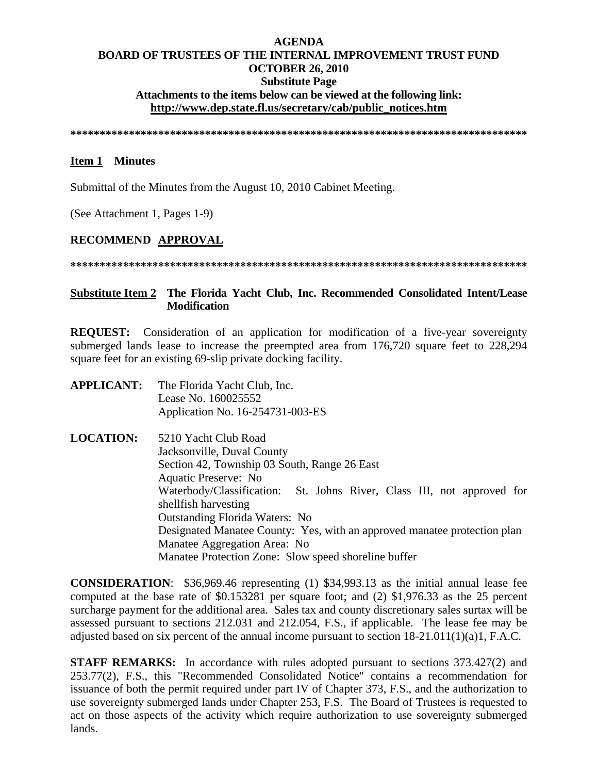# **AGENDA BOARD OF TRUSTEES OF THE INTERNAL IMPROVEMENT TRUST FUND OCTOBER 26, 2010 Substitute Page Attachments to the items below can be viewed at the following link: http://www.dep.state.fl.us/secretary/cab/public\_notices.htm**

**\*\*\*\*\*\*\*\*\*\*\*\*\*\*\*\*\*\*\*\*\*\*\*\*\*\*\*\*\*\*\*\*\*\*\*\*\*\*\*\*\*\*\*\*\*\*\*\*\*\*\*\*\*\*\*\*\*\*\*\*\*\*\*\*\*\*\*\*\*\*\*\*\*\*\*\*\*\*** 

# **Item 1 Minutes**

Submittal of the Minutes from the August 10, 2010 Cabinet Meeting.

(See Attachment 1, Pages 1-9)

# **RECOMMEND APPROVAL**

**\*\*\*\*\*\*\*\*\*\*\*\*\*\*\*\*\*\*\*\*\*\*\*\*\*\*\*\*\*\*\*\*\*\*\*\*\*\*\*\*\*\*\*\*\*\*\*\*\*\*\*\*\*\*\*\*\*\*\*\*\*\*\*\*\*\*\*\*\*\*\*\*\*\*\*\*\*\*** 

# **Substitute Item 2 The Florida Yacht Club, Inc. Recommended Consolidated Intent/Lease Modification**

**REQUEST:** Consideration of an application for modification of a five-year sovereignty submerged lands lease to increase the preempted area from 176,720 square feet to 228,294 square feet for an existing 69-slip private docking facility.

- **APPLICANT:** The Florida Yacht Club, Inc. Lease No. 160025552 Application No. 16-254731-003-ES
- **LOCATION:** 5210 Yacht Club Road Jacksonville, Duval County Section 42, Township 03 South, Range 26 East Aquatic Preserve: No Waterbody/Classification: St. Johns River, Class III, not approved for shellfish harvesting Outstanding Florida Waters: No Designated Manatee County: Yes, with an approved manatee protection plan Manatee Aggregation Area: No Manatee Protection Zone: Slow speed shoreline buffer

**CONSIDERATION**: \$36,969.46 representing (1) \$34,993.13 as the initial annual lease fee computed at the base rate of \$0.153281 per square foot; and (2) \$1,976.33 as the 25 percent surcharge payment for the additional area. Sales tax and county discretionary sales surtax will be assessed pursuant to sections 212.031 and 212.054, F.S., if applicable. The lease fee may be adjusted based on six percent of the annual income pursuant to section 18-21.011(1)(a)1, F.A.C.

**STAFF REMARKS:** In accordance with rules adopted pursuant to sections 373.427(2) and 253.77(2), F.S., this "Recommended Consolidated Notice" contains a recommendation for issuance of both the permit required under part IV of Chapter 373, F.S., and the authorization to use sovereignty submerged lands under Chapter 253, F.S. The Board of Trustees is requested to act on those aspects of the activity which require authorization to use sovereignty submerged lands.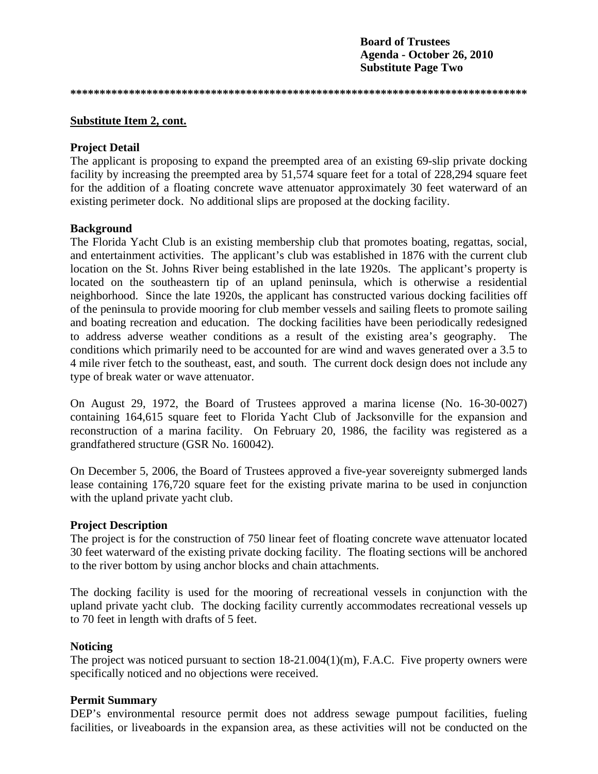**Board of Trustees Agenda - October 26, 2010 Substitute Page Two** 

**\*\*\*\*\*\*\*\*\*\*\*\*\*\*\*\*\*\*\*\*\*\*\*\*\*\*\*\*\*\*\*\*\*\*\*\*\*\*\*\*\*\*\*\*\*\*\*\*\*\*\*\*\*\*\*\*\*\*\*\*\*\*\*\*\*\*\*\*\*\*\*\*\*\*\*\*\*\*** 

## **Substitute Item 2, cont.**

#### **Project Detail**

The applicant is proposing to expand the preempted area of an existing 69-slip private docking facility by increasing the preempted area by 51,574 square feet for a total of 228,294 square feet for the addition of a floating concrete wave attenuator approximately 30 feet waterward of an existing perimeter dock. No additional slips are proposed at the docking facility.

### **Background**

The Florida Yacht Club is an existing membership club that promotes boating, regattas, social, and entertainment activities. The applicant's club was established in 1876 with the current club location on the St. Johns River being established in the late 1920s. The applicant's property is located on the southeastern tip of an upland peninsula, which is otherwise a residential neighborhood. Since the late 1920s, the applicant has constructed various docking facilities off of the peninsula to provide mooring for club member vessels and sailing fleets to promote sailing and boating recreation and education. The docking facilities have been periodically redesigned to address adverse weather conditions as a result of the existing area's geography. The conditions which primarily need to be accounted for are wind and waves generated over a 3.5 to 4 mile river fetch to the southeast, east, and south. The current dock design does not include any type of break water or wave attenuator.

On August 29, 1972, the Board of Trustees approved a marina license (No. 16-30-0027) containing 164,615 square feet to Florida Yacht Club of Jacksonville for the expansion and reconstruction of a marina facility. On February 20, 1986, the facility was registered as a grandfathered structure (GSR No. 160042).

On December 5, 2006, the Board of Trustees approved a five-year sovereignty submerged lands lease containing 176,720 square feet for the existing private marina to be used in conjunction with the upland private yacht club.

#### **Project Description**

The project is for the construction of 750 linear feet of floating concrete wave attenuator located 30 feet waterward of the existing private docking facility. The floating sections will be anchored to the river bottom by using anchor blocks and chain attachments.

The docking facility is used for the mooring of recreational vessels in conjunction with the upland private yacht club. The docking facility currently accommodates recreational vessels up to 70 feet in length with drafts of 5 feet.

# **Noticing**

The project was noticed pursuant to section 18-21.004(1)(m), F.A.C. Five property owners were specifically noticed and no objections were received.

## **Permit Summary**

DEP's environmental resource permit does not address sewage pumpout facilities, fueling facilities, or liveaboards in the expansion area, as these activities will not be conducted on the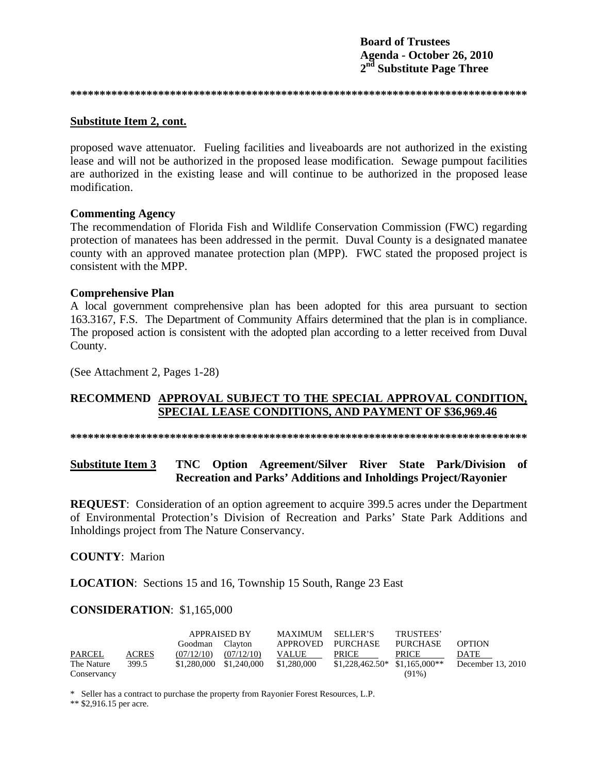**Board of Trustees** Agenda - October 26, 2010 2<sup>nd</sup> Substitute Page Three

#### Substitute Item 2, cont.

proposed wave attenuator. Fueling facilities and liveaboards are not authorized in the existing lease and will not be authorized in the proposed lease modification. Sewage pumpout facilities are authorized in the existing lease and will continue to be authorized in the proposed lease modification.

#### **Commenting Agency**

The recommendation of Florida Fish and Wildlife Conservation Commission (FWC) regarding protection of manatees has been addressed in the permit. Duval County is a designated manatee county with an approved manatee protection plan (MPP). FWC stated the proposed project is consistent with the MPP.

#### **Comprehensive Plan**

A local government comprehensive plan has been adopted for this area pursuant to section 163.3167, F.S. The Department of Community Affairs determined that the plan is in compliance. The proposed action is consistent with the adopted plan according to a letter received from Duval County.

(See Attachment 2, Pages 1-28)

# RECOMMEND APPROVAL SUBJECT TO THE SPECIAL APPROVAL CONDITION, SPECIAL LEASE CONDITIONS, AND PAYMENT OF \$36,969.46

#### **Substitute Item 3** TNC Option Agreement/Silver River State Park/Division of Recreation and Parks' Additions and Inholdings Project/Rayonier

**REQUEST:** Consideration of an option agreement to acquire 399.5 acres under the Department of Environmental Protection's Division of Recreation and Parks' State Park Additions and Inholdings project from The Nature Conservancy.

## **COUNTY: Marion**

**LOCATION:** Sections 15 and 16, Township 15 South, Range 23 East

#### **CONSIDERATION: \$1,165,000**

|             |              | <b>APPRAISED BY</b> |                         | <b>MAXIMUM</b> | SELLER'S                        | TRUSTEES'       |                   |
|-------------|--------------|---------------------|-------------------------|----------------|---------------------------------|-----------------|-------------------|
|             |              | Goodman             | Clayton                 | APPROVED       | <b>PURCHASE</b>                 | <b>PURCHASE</b> | <b>OPTION</b>     |
| PARCEL      | <b>ACRES</b> | (07/12/10)          | (07/12/10)              | <b>VALUE</b>   | <b>PRICE</b>                    | <b>PRICE</b>    | DATE              |
| The Nature  | 399.5        |                     | \$1,280,000 \$1,240,000 | \$1,280,000    | $$1,228,462.50*$ $$1,165,000**$ |                 | December 13, 2010 |
| Conservancy |              |                     |                         |                |                                 | (91%)           |                   |

\* Seller has a contract to purchase the property from Rayonier Forest Resources, L.P.

\*\*  $$2,916.15$  per acre.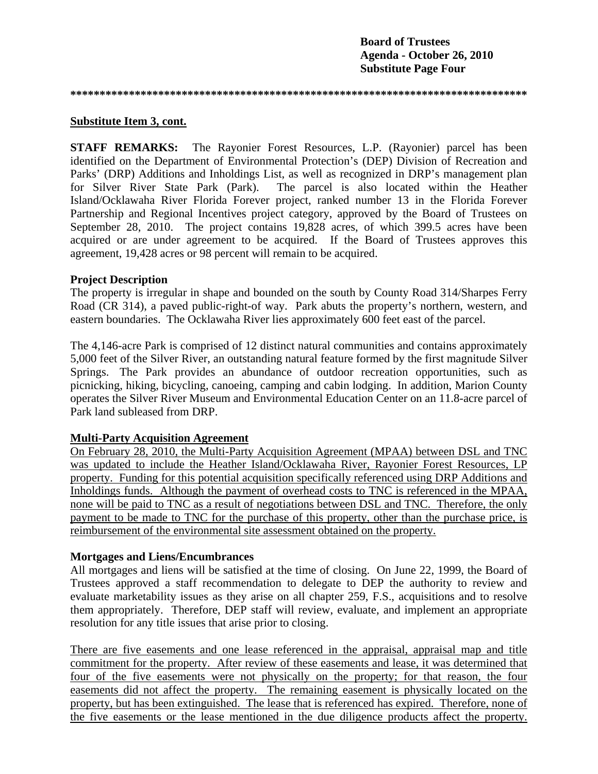**\*\*\*\*\*\*\*\*\*\*\*\*\*\*\*\*\*\*\*\*\*\*\*\*\*\*\*\*\*\*\*\*\*\*\*\*\*\*\*\*\*\*\*\*\*\*\*\*\*\*\*\*\*\*\*\*\*\*\*\*\*\*\*\*\*\*\*\*\*\*\*\*\*\*\*\*\*\*** 

#### **Substitute Item 3, cont.**

**STAFF REMARKS:** The Rayonier Forest Resources, L.P. (Rayonier) parcel has been identified on the Department of Environmental Protection's (DEP) Division of Recreation and Parks' (DRP) Additions and Inholdings List, as well as recognized in DRP's management plan for Silver River State Park (Park). The parcel is also located within the Heather Island/Ocklawaha River Florida Forever project, ranked number 13 in the Florida Forever Partnership and Regional Incentives project category, approved by the Board of Trustees on September 28, 2010. The project contains 19,828 acres, of which 399.5 acres have been acquired or are under agreement to be acquired. If the Board of Trustees approves this agreement, 19,428 acres or 98 percent will remain to be acquired.

## **Project Description**

The property is irregular in shape and bounded on the south by County Road 314/Sharpes Ferry Road (CR 314), a paved public-right-of way. Park abuts the property's northern, western, and eastern boundaries. The Ocklawaha River lies approximately 600 feet east of the parcel.

The 4,146-acre Park is comprised of 12 distinct natural communities and contains approximately 5,000 feet of the Silver River, an outstanding natural feature formed by the first magnitude Silver Springs. The Park provides an abundance of outdoor recreation opportunities, such as picnicking, hiking, bicycling, canoeing, camping and cabin lodging. In addition, Marion County operates the Silver River Museum and Environmental Education Center on an 11.8-acre parcel of Park land subleased from DRP.

# **Multi-Party Acquisition Agreement**

On February 28, 2010, the Multi-Party Acquisition Agreement (MPAA) between DSL and TNC was updated to include the Heather Island/Ocklawaha River, Rayonier Forest Resources, LP property. Funding for this potential acquisition specifically referenced using DRP Additions and Inholdings funds. Although the payment of overhead costs to TNC is referenced in the MPAA, none will be paid to TNC as a result of negotiations between DSL and TNC. Therefore, the only payment to be made to TNC for the purchase of this property, other than the purchase price, is reimbursement of the environmental site assessment obtained on the property.

# **Mortgages and Liens/Encumbrances**

All mortgages and liens will be satisfied at the time of closing. On June 22, 1999, the Board of Trustees approved a staff recommendation to delegate to DEP the authority to review and evaluate marketability issues as they arise on all chapter 259, F.S., acquisitions and to resolve them appropriately. Therefore, DEP staff will review, evaluate, and implement an appropriate resolution for any title issues that arise prior to closing.

There are five easements and one lease referenced in the appraisal, appraisal map and title commitment for the property. After review of these easements and lease, it was determined that four of the five easements were not physically on the property; for that reason, the four easements did not affect the property. The remaining easement is physically located on the property, but has been extinguished. The lease that is referenced has expired. Therefore, none of the five easements or the lease mentioned in the due diligence products affect the property.